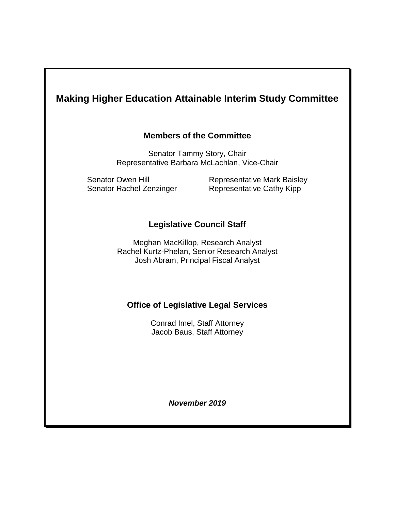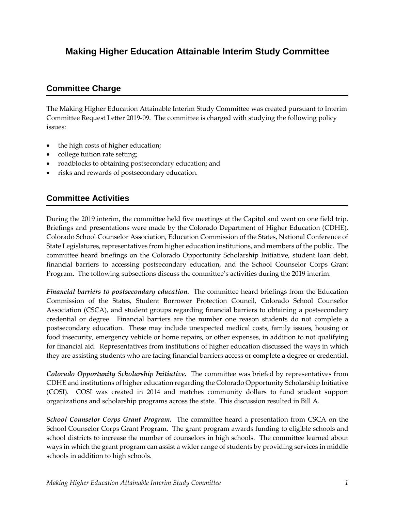## **Making Higher Education Attainable Interim Study Committee**

## **Committee Charge**

The Making Higher Education Attainable Interim Study Committee was created pursuant to Interim Committee Request Letter 2019-09. The committee is charged with studying the following policy issues:

- the high costs of higher education;
- college tuition rate setting;
- roadblocks to obtaining postsecondary education; and
- risks and rewards of postsecondary education.

## **Committee Activities**

During the 2019 interim, the committee held five meetings at the Capitol and went on one field trip. Briefings and presentations were made by the Colorado Department of Higher Education (CDHE), Colorado School Counselor Association, Education Commission of the States, National Conference of State Legislatures, representatives from higher education institutions, and members of the public. The committee heard briefings on the Colorado Opportunity Scholarship Initiative, student loan debt, financial barriers to accessing postsecondary education, and the School Counselor Corps Grant Program. The following subsections discuss the committee's activities during the 2019 interim.

*Financial barriers to postsecondary education.* The committee heard briefings from the Education Commission of the States, Student Borrower Protection Council, Colorado School Counselor Association (CSCA), and student groups regarding financial barriers to obtaining a postsecondary credential or degree. Financial barriers are the number one reason students do not complete a postsecondary education. These may include unexpected medical costs, family issues, housing or food insecurity, emergency vehicle or home repairs, or other expenses, in addition to not qualifying for financial aid. Representatives from institutions of higher education discussed the ways in which they are assisting students who are facing financial barriers access or complete a degree or credential.

*Colorado Opportunity Scholarship Initiative***.** The committee was briefed by representatives from CDHE and institutions of higher education regarding the Colorado Opportunity Scholarship Initiative (COSI). COSI was created in 2014 and matches community dollars to fund student support organizations and scholarship programs across the state. This discussion resulted in Bill A.

**School Counselor Corps Grant Program.** The committee heard a presentation from CSCA on the School Counselor Corps Grant Program. The grant program awards funding to eligible schools and school districts to increase the number of counselors in high schools. The committee learned about ways in which the grant program can assist a wider range of students by providing services in middle schools in addition to high schools.